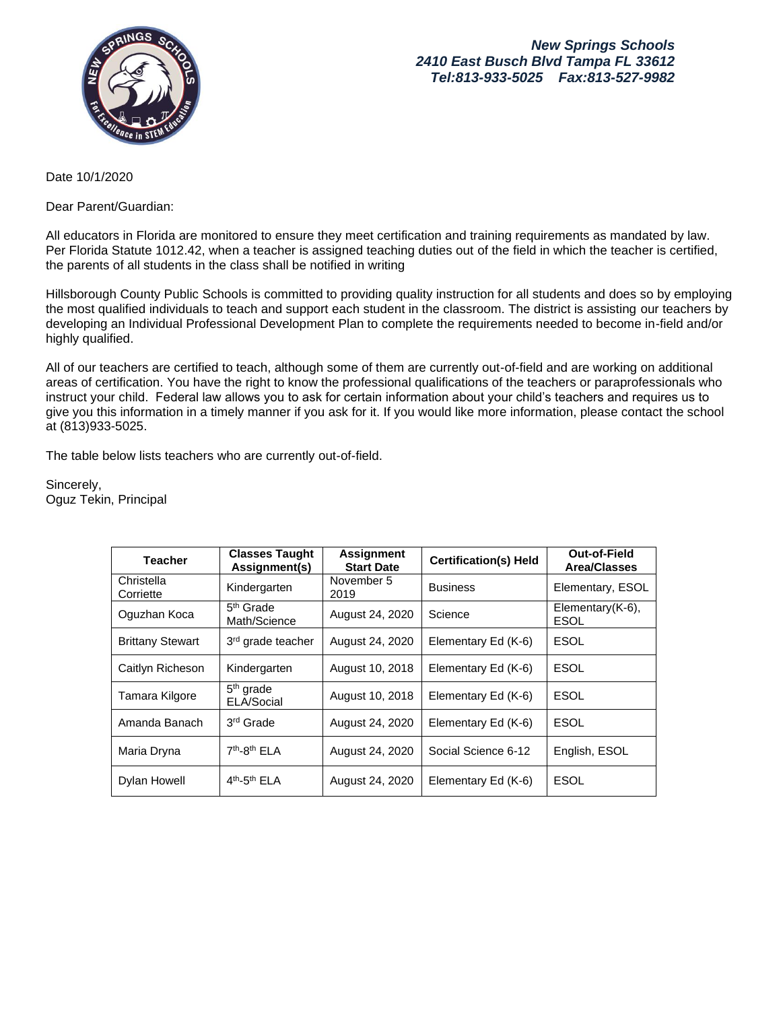

## *New Springs Schools 2410 East Busch Blvd Tampa FL 33612 [Tel:813-933-5025](tel:813-933-5025) Fax:813-527-9982*

Date 10/1/2020

Dear Parent/Guardian:

All educators in Florida are monitored to ensure they meet certification and training requirements as mandated by law. Per Florida Statute 1012.42, when a teacher is assigned teaching duties out of the field in which the teacher is certified, the parents of all students in the class shall be notified in writing

Hillsborough County Public Schools is committed to providing quality instruction for all students and does so by employing the most qualified individuals to teach and support each student in the classroom. The district is assisting our teachers by developing an Individual Professional Development Plan to complete the requirements needed to become in-field and/or highly qualified.

All of our teachers are certified to teach, although some of them are currently out-of-field and are working on additional areas of certification. You have the right to know the professional qualifications of the teachers or paraprofessionals who instruct your child. Federal law allows you to ask for certain information about your child's teachers and requires us to give you this information in a timely manner if you ask for it. If you would like more information, please contact the school at (813)933-5025.

The table below lists teachers who are currently out-of-field.

Sincerely, Oguz Tekin, Principal

| <b>Teacher</b>          | <b>Classes Taught</b><br>Assignment(s) | <b>Assignment</b><br><b>Start Date</b> | <b>Certification(s) Held</b> | Out-of-Field<br><b>Area/Classes</b> |
|-------------------------|----------------------------------------|----------------------------------------|------------------------------|-------------------------------------|
| Christella<br>Corriette | Kindergarten                           | November 5<br>2019                     | <b>Business</b>              | Elementary, ESOL                    |
| Oguzhan Koca            | $5th$ Grade<br>Math/Science            | August 24, 2020                        | Science                      | Elementary $(K-6)$ ,<br><b>ESOL</b> |
| <b>Brittany Stewart</b> | 3 <sup>rd</sup> grade teacher          | August 24, 2020                        | Elementary Ed (K-6)          | <b>ESOL</b>                         |
| Caitlyn Richeson        | Kindergarten                           | August 10, 2018                        | Elementary Ed (K-6)          | <b>ESOL</b>                         |
| Tamara Kilgore          | $5th$ grade<br>ELA/Social              | August 10, 2018                        | Elementary Ed (K-6)          | <b>ESOL</b>                         |
| Amanda Banach           | 3 <sup>rd</sup> Grade                  | August 24, 2020                        | Elementary Ed (K-6)          | <b>ESOL</b>                         |
| Maria Dryna             | 7 <sup>th</sup> -8 <sup>th</sup> ELA   | August 24, 2020                        | Social Science 6-12          | English, ESOL                       |
| <b>Dylan Howell</b>     | $4th - 5th$ FI A                       | August 24, 2020                        | Elementary Ed (K-6)          | <b>ESOL</b>                         |